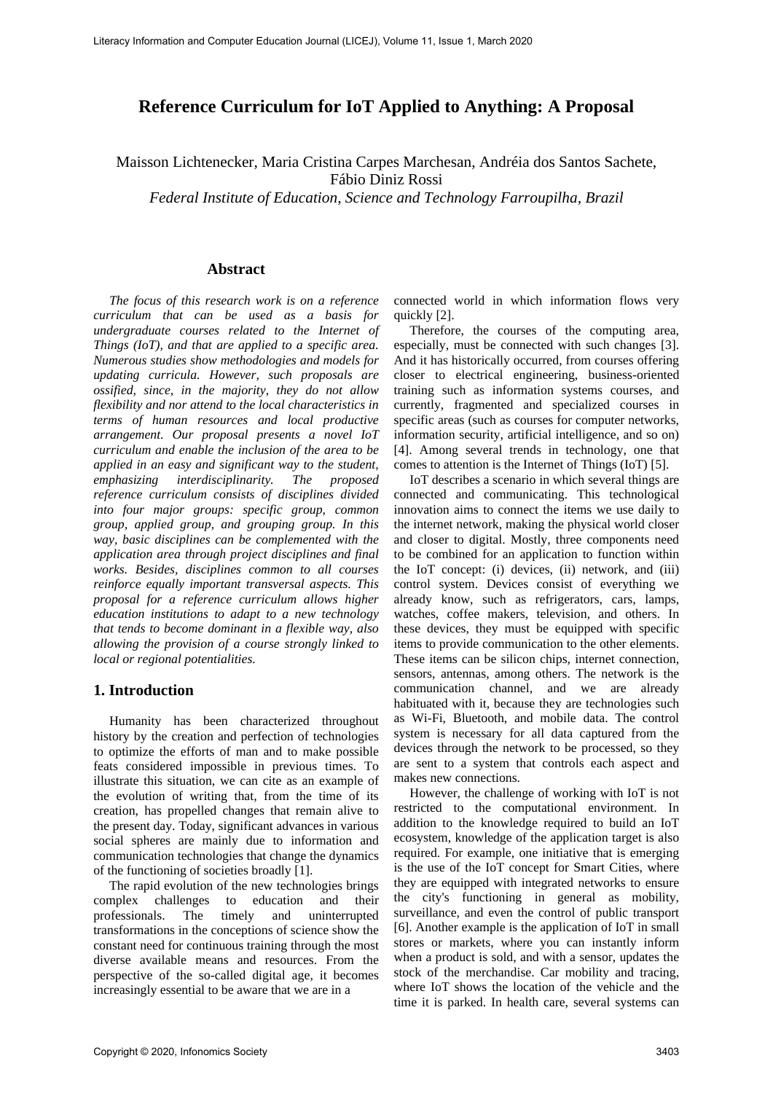# **Reference Curriculum for IoT Applied to Anything: A Proposal**

Maisson Lichtenecker, Maria Cristina Carpes Marchesan, Andréia dos Santos Sachete, Fábio Diniz Rossi

*Federal Institute of Education, Science and Technology Farroupilha, Brazil*

#### **Abstract**

*The focus of this research work is on a reference curriculum that can be used as a basis for undergraduate courses related to the Internet of Things (IoT), and that are applied to a specific area. Numerous studies show methodologies and models for updating curricula. However, such proposals are ossified, since, in the majority, they do not allow flexibility and nor attend to the local characteristics in terms of human resources and local productive arrangement. Our proposal presents a novel IoT curriculum and enable the inclusion of the area to be applied in an easy and significant way to the student, emphasizing interdisciplinarity. The proposed reference curriculum consists of disciplines divided into four major groups: specific group, common group, applied group, and grouping group. In this way, basic disciplines can be complemented with the application area through project disciplines and final works. Besides, disciplines common to all courses reinforce equally important transversal aspects. This proposal for a reference curriculum allows higher education institutions to adapt to a new technology that tends to become dominant in a flexible way, also allowing the provision of a course strongly linked to local or regional potentialities.*

#### **1. Introduction**

Humanity has been characterized throughout history by the creation and perfection of technologies to optimize the efforts of man and to make possible feats considered impossible in previous times. To illustrate this situation, we can cite as an example of the evolution of writing that, from the time of its creation, has propelled changes that remain alive to the present day. Today, significant advances in various social spheres are mainly due to information and communication technologies that change the dynamics of the functioning of societies broadly [1].

The rapid evolution of the new technologies brings complex challenges to education and their professionals. The timely and uninterrupted transformations in the conceptions of science show the constant need for continuous training through the most diverse available means and resources. From the perspective of the so-called digital age, it becomes increasingly essential to be aware that we are in a

connected world in which information flows very quickly [2].

Therefore, the courses of the computing area, especially, must be connected with such changes [3]. And it has historically occurred, from courses offering closer to electrical engineering, business-oriented training such as information systems courses, and currently, fragmented and specialized courses in specific areas (such as courses for computer networks, information security, artificial intelligence, and so on) [4]. Among several trends in technology, one that comes to attention is the Internet of Things (IoT) [5].

IoT describes a scenario in which several things are connected and communicating. This technological innovation aims to connect the items we use daily to the internet network, making the physical world closer and closer to digital. Mostly, three components need to be combined for an application to function within the IoT concept: (i) devices, (ii) network, and (iii) control system. Devices consist of everything we already know, such as refrigerators, cars, lamps, watches, coffee makers, television, and others. In these devices, they must be equipped with specific items to provide communication to the other elements. These items can be silicon chips, internet connection, sensors, antennas, among others. The network is the communication channel, and we are already habituated with it, because they are technologies such as Wi-Fi, Bluetooth, and mobile data. The control system is necessary for all data captured from the devices through the network to be processed, so they are sent to a system that controls each aspect and makes new connections.

However, the challenge of working with IoT is not restricted to the computational environment. In addition to the knowledge required to build an IoT ecosystem, knowledge of the application target is also required. For example, one initiative that is emerging is the use of the IoT concept for Smart Cities, where they are equipped with integrated networks to ensure the city's functioning in general as mobility, surveillance, and even the control of public transport [6]. Another example is the application of IoT in small stores or markets, where you can instantly inform when a product is sold, and with a sensor, updates the stock of the merchandise. Car mobility and tracing, where IoT shows the location of the vehicle and the time it is parked. In health care, several systems can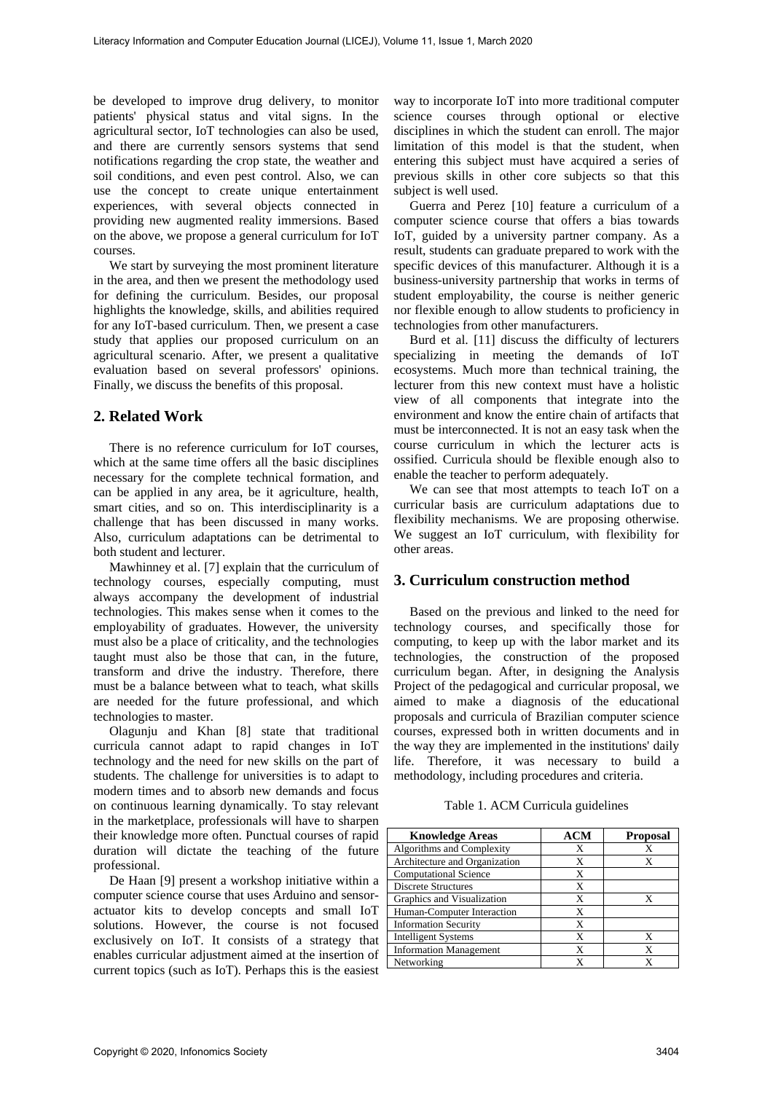be developed to improve drug delivery, to monitor patients' physical status and vital signs. In the agricultural sector, IoT technologies can also be used, and there are currently sensors systems that send notifications regarding the crop state, the weather and soil conditions, and even pest control. Also, we can use the concept to create unique entertainment experiences, with several objects connected in providing new augmented reality immersions. Based on the above, we propose a general curriculum for IoT courses.

We start by surveying the most prominent literature in the area, and then we present the methodology used for defining the curriculum. Besides, our proposal highlights the knowledge, skills, and abilities required for any IoT-based curriculum. Then, we present a case study that applies our proposed curriculum on an agricultural scenario. After, we present a qualitative evaluation based on several professors' opinions. Finally, we discuss the benefits of this proposal.

#### **2. Related Work**

There is no reference curriculum for IoT courses, which at the same time offers all the basic disciplines necessary for the complete technical formation, and can be applied in any area, be it agriculture, health, smart cities, and so on. This interdisciplinarity is a challenge that has been discussed in many works. Also, curriculum adaptations can be detrimental to both student and lecturer.

Mawhinney et al. [7] explain that the curriculum of technology courses, especially computing, must always accompany the development of industrial technologies. This makes sense when it comes to the employability of graduates. However, the university must also be a place of criticality, and the technologies taught must also be those that can, in the future, transform and drive the industry. Therefore, there must be a balance between what to teach, what skills are needed for the future professional, and which technologies to master.

Olagunju and Khan [8] state that traditional curricula cannot adapt to rapid changes in IoT technology and the need for new skills on the part of students. The challenge for universities is to adapt to modern times and to absorb new demands and focus on continuous learning dynamically. To stay relevant in the marketplace, professionals will have to sharpen their knowledge more often. Punctual courses of rapid duration will dictate the teaching of the future professional.

De Haan [9] present a workshop initiative within a computer science course that uses Arduino and sensoractuator kits to develop concepts and small IoT solutions. However, the course is not focused exclusively on IoT. It consists of a strategy that enables curricular adjustment aimed at the insertion of current topics (such as IoT). Perhaps this is the easiest

way to incorporate IoT into more traditional computer science courses through optional or elective disciplines in which the student can enroll. The major limitation of this model is that the student, when entering this subject must have acquired a series of previous skills in other core subjects so that this subject is well used.

Guerra and Perez [10] feature a curriculum of a computer science course that offers a bias towards IoT, guided by a university partner company. As a result, students can graduate prepared to work with the specific devices of this manufacturer. Although it is a business-university partnership that works in terms of student employability, the course is neither generic nor flexible enough to allow students to proficiency in technologies from other manufacturers.

Burd et al. [11] discuss the difficulty of lecturers specializing in meeting the demands of IoT ecosystems. Much more than technical training, the lecturer from this new context must have a holistic view of all components that integrate into the environment and know the entire chain of artifacts that must be interconnected. It is not an easy task when the course curriculum in which the lecturer acts is ossified. Curricula should be flexible enough also to enable the teacher to perform adequately.

We can see that most attempts to teach IoT on a curricular basis are curriculum adaptations due to flexibility mechanisms. We are proposing otherwise. We suggest an IoT curriculum, with flexibility for other areas.

## **3. Curriculum construction method**

Based on the previous and linked to the need for technology courses, and specifically those for computing, to keep up with the labor market and its technologies, the construction of the proposed curriculum began. After, in designing the Analysis Project of the pedagogical and curricular proposal, we aimed to make a diagnosis of the educational proposals and curricula of Brazilian computer science courses, expressed both in written documents and in the way they are implemented in the institutions' daily life. Therefore, it was necessary to build a methodology, including procedures and criteria.

Table 1. ACM Curricula guidelines

| <b>Knowledge Areas</b>        | <b>ACM</b> | <b>Proposal</b> |
|-------------------------------|------------|-----------------|
| Algorithms and Complexity     | X          | Х               |
| Architecture and Organization | X          | X               |
| <b>Computational Science</b>  | X          |                 |
| <b>Discrete Structures</b>    | X          |                 |
| Graphics and Visualization    | X          | x               |
| Human-Computer Interaction    | X          |                 |
| <b>Information Security</b>   | X          |                 |
| <b>Intelligent Systems</b>    | X          | X               |
| <b>Information Management</b> | X          | X               |
| Networking                    |            |                 |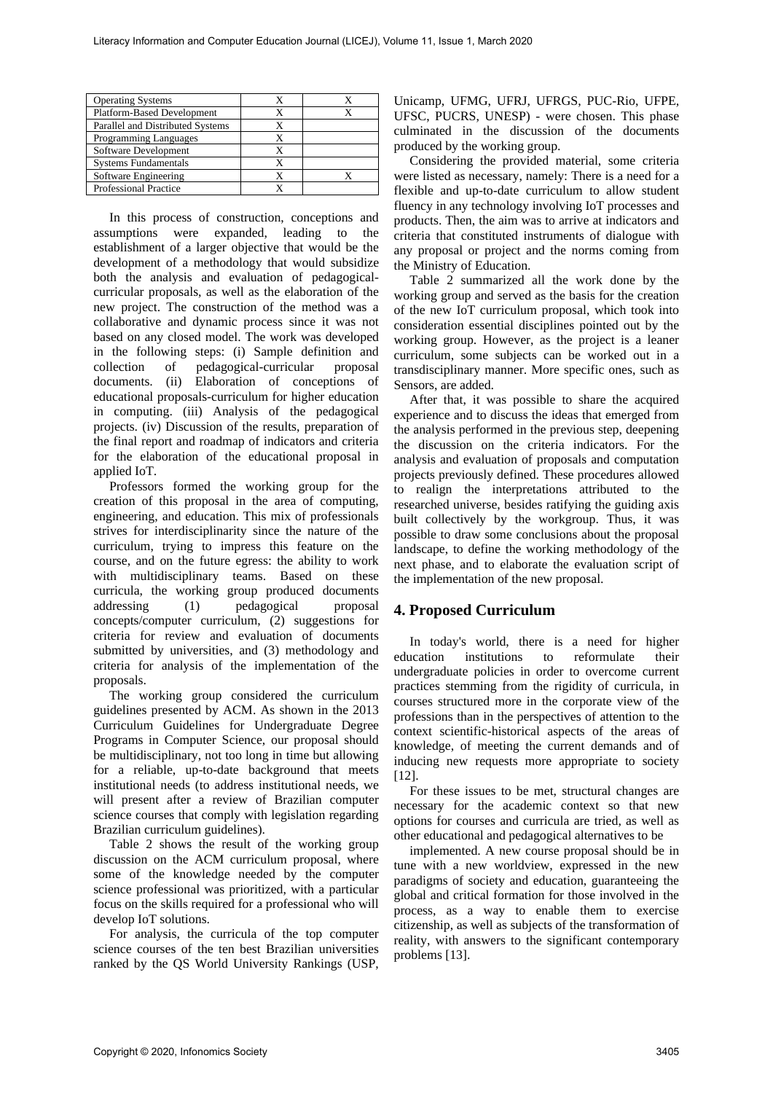| <b>Operating Systems</b>         |  |
|----------------------------------|--|
| Platform-Based Development       |  |
| Parallel and Distributed Systems |  |
| <b>Programming Languages</b>     |  |
| Software Development             |  |
| <b>Systems Fundamentals</b>      |  |
| Software Engineering             |  |
| <b>Professional Practice</b>     |  |

In this process of construction, conceptions and assumptions were expanded, leading to the establishment of a larger objective that would be the development of a methodology that would subsidize both the analysis and evaluation of pedagogicalcurricular proposals, as well as the elaboration of the new project. The construction of the method was a collaborative and dynamic process since it was not based on any closed model. The work was developed in the following steps: (i) Sample definition and collection of pedagogical-curricular proposal documents. (ii) Elaboration of conceptions of educational proposals-curriculum for higher education in computing. (iii) Analysis of the pedagogical projects. (iv) Discussion of the results, preparation of the final report and roadmap of indicators and criteria for the elaboration of the educational proposal in applied IoT.

Professors formed the working group for the creation of this proposal in the area of computing, engineering, and education. This mix of professionals strives for interdisciplinarity since the nature of the curriculum, trying to impress this feature on the course, and on the future egress: the ability to work with multidisciplinary teams. Based on these curricula, the working group produced documents addressing (1) pedagogical proposal concepts/computer curriculum, (2) suggestions for criteria for review and evaluation of documents submitted by universities, and (3) methodology and criteria for analysis of the implementation of the proposals.

The working group considered the curriculum guidelines presented by ACM. As shown in the 2013 Curriculum Guidelines for Undergraduate Degree Programs in Computer Science, our proposal should be multidisciplinary, not too long in time but allowing for a reliable, up-to-date background that meets institutional needs (to address institutional needs, we will present after a review of Brazilian computer science courses that comply with legislation regarding Brazilian curriculum guidelines).

Table 2 shows the result of the working group discussion on the ACM curriculum proposal, where some of the knowledge needed by the computer science professional was prioritized, with a particular focus on the skills required for a professional who will develop IoT solutions.

For analysis, the curricula of the top computer science courses of the ten best Brazilian universities ranked by the QS World University Rankings (USP,

Unicamp, UFMG, UFRJ, UFRGS, PUC-Rio, UFPE, UFSC, PUCRS, UNESP) - were chosen. This phase culminated in the discussion of the documents produced by the working group.

Considering the provided material, some criteria were listed as necessary, namely: There is a need for a flexible and up-to-date curriculum to allow student fluency in any technology involving IoT processes and products. Then, the aim was to arrive at indicators and criteria that constituted instruments of dialogue with any proposal or project and the norms coming from the Ministry of Education.

Table 2 summarized all the work done by the working group and served as the basis for the creation of the new IoT curriculum proposal, which took into consideration essential disciplines pointed out by the working group. However, as the project is a leaner curriculum, some subjects can be worked out in a transdisciplinary manner. More specific ones, such as Sensors, are added.

After that, it was possible to share the acquired experience and to discuss the ideas that emerged from the analysis performed in the previous step, deepening the discussion on the criteria indicators. For the analysis and evaluation of proposals and computation projects previously defined. These procedures allowed to realign the interpretations attributed to the researched universe, besides ratifying the guiding axis built collectively by the workgroup. Thus, it was possible to draw some conclusions about the proposal landscape, to define the working methodology of the next phase, and to elaborate the evaluation script of the implementation of the new proposal.

# **4. Proposed Curriculum**

In today's world, there is a need for higher education institutions to reformulate their undergraduate policies in order to overcome current practices stemming from the rigidity of curricula, in courses structured more in the corporate view of the professions than in the perspectives of attention to the context scientific-historical aspects of the areas of knowledge, of meeting the current demands and of inducing new requests more appropriate to society [12].

For these issues to be met, structural changes are necessary for the academic context so that new options for courses and curricula are tried, as well as other educational and pedagogical alternatives to be

implemented. A new course proposal should be in tune with a new worldview, expressed in the new paradigms of society and education, guaranteeing the global and critical formation for those involved in the process, as a way to enable them to exercise citizenship, as well as subjects of the transformation of reality, with answers to the significant contemporary problems [13].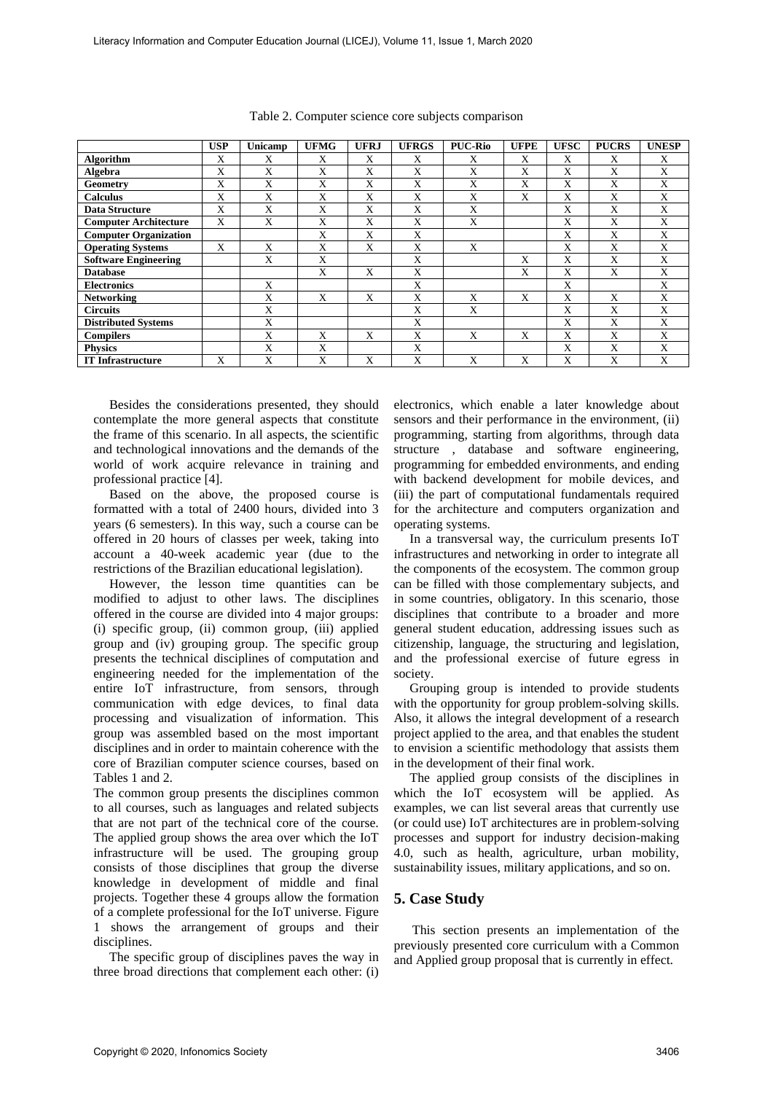|                              | <b>USP</b> | Unicamp | <b>UFMG</b> | <b>UFRJ</b> | <b>UFRGS</b> | <b>PUC-Rio</b> | <b>UFPE</b> | <b>UFSC</b> | <b>PUCRS</b> | <b>UNESP</b> |
|------------------------------|------------|---------|-------------|-------------|--------------|----------------|-------------|-------------|--------------|--------------|
| Algorithm                    | X          | X       | X           | X           | X            | X              | X           | X           | X            | X            |
| Algebra                      | X          | X       | X           | X           | X            | X              | X           | X           | X            | X            |
| <b>Geometry</b>              | X          | X       | X           | X           | X            | X              | X           | X           | X            | X            |
| <b>Calculus</b>              | X          | X       | X           | X           | X            | X              | X           | X           | X            | X            |
| <b>Data Structure</b>        | X          | X       | X           | X           | X            | X              |             | X           | X            | X            |
| <b>Computer Architecture</b> | X          | X       | X           | X           | X            | X              |             | X           | X            | X            |
| <b>Computer Organization</b> |            |         | X           | X           | X            |                |             | X           | X            | X            |
| <b>Operating Systems</b>     | X          | X       | X           | X           | X            | X              |             | X           | X            | X            |
| <b>Software Engineering</b>  |            | X       | X           |             | X            |                | X           | X           | X            | X            |
| <b>Database</b>              |            |         | X           | X           | X            |                | X           | X           | X            | X            |
| <b>Electronics</b>           |            | X       |             |             | Х            |                |             | X           |              | X            |
| <b>Networking</b>            |            | X       | X           | X           | X            | X              | X           | X           | X            | X            |
| <b>Circuits</b>              |            | X       |             |             | X            | X              |             | X           | X            | X            |
| <b>Distributed Systems</b>   |            | X       |             |             | X            |                |             | X           | X            | X            |
| <b>Compilers</b>             |            | X       | X           | X           | X            | X              | X           | X           | X            | X            |
| <b>Physics</b>               |            | X       | X           |             | X            |                |             | X           | X            | X            |
| <b>IT Infrastructure</b>     | X          | X       | X           | X           | X            | X              | X           | X           | X            | X            |

Table 2. Computer science core subjects comparison

Besides the considerations presented, they should contemplate the more general aspects that constitute the frame of this scenario. In all aspects, the scientific and technological innovations and the demands of the world of work acquire relevance in training and professional practice [4].

Based on the above, the proposed course is formatted with a total of 2400 hours, divided into 3 years (6 semesters). In this way, such a course can be offered in 20 hours of classes per week, taking into account a 40-week academic year (due to the restrictions of the Brazilian educational legislation).

However, the lesson time quantities can be modified to adjust to other laws. The disciplines offered in the course are divided into 4 major groups: (i) specific group, (ii) common group, (iii) applied group and (iv) grouping group. The specific group presents the technical disciplines of computation and engineering needed for the implementation of the entire IoT infrastructure, from sensors, through communication with edge devices, to final data processing and visualization of information. This group was assembled based on the most important disciplines and in order to maintain coherence with the core of Brazilian computer science courses, based on Tables 1 and 2.

The common group presents the disciplines common to all courses, such as languages and related subjects that are not part of the technical core of the course. The applied group shows the area over which the IoT infrastructure will be used. The grouping group consists of those disciplines that group the diverse knowledge in development of middle and final projects. Together these 4 groups allow the formation of a complete professional for the IoT universe. Figure 1 shows the arrangement of groups and their disciplines.

The specific group of disciplines paves the way in three broad directions that complement each other: (i)

electronics, which enable a later knowledge about sensors and their performance in the environment, (ii) programming, starting from algorithms, through data structure , database and software engineering, programming for embedded environments, and ending with backend development for mobile devices, and (iii) the part of computational fundamentals required for the architecture and computers organization and operating systems.

In a transversal way, the curriculum presents IoT infrastructures and networking in order to integrate all the components of the ecosystem. The common group can be filled with those complementary subjects, and in some countries, obligatory. In this scenario, those disciplines that contribute to a broader and more general student education, addressing issues such as citizenship, language, the structuring and legislation, and the professional exercise of future egress in society.

Grouping group is intended to provide students with the opportunity for group problem-solving skills. Also, it allows the integral development of a research project applied to the area, and that enables the student to envision a scientific methodology that assists them in the development of their final work.

The applied group consists of the disciplines in which the IoT ecosystem will be applied. As examples, we can list several areas that currently use (or could use) IoT architectures are in problem-solving processes and support for industry decision-making 4.0, such as health, agriculture, urban mobility, sustainability issues, military applications, and so on.

#### **5. Case Study**

This section presents an implementation of the previously presented core curriculum with a Common and Applied group proposal that is currently in effect.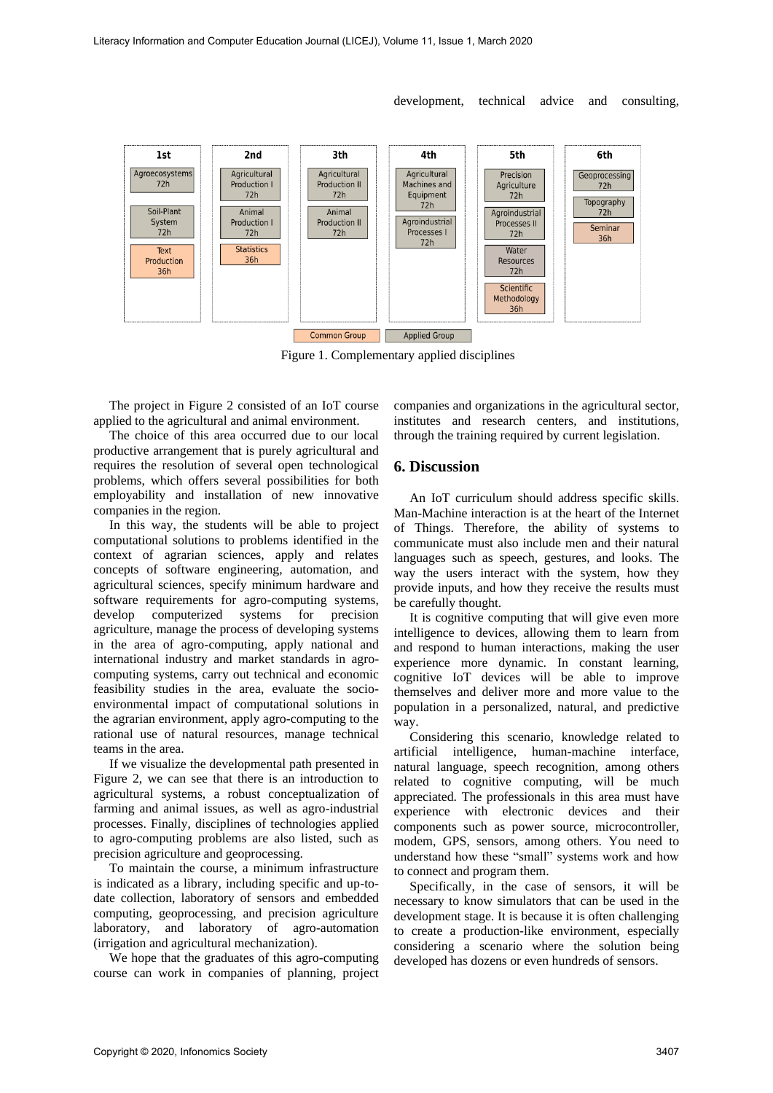$2nd$  $3<sub>th</sub>$  $4<sup>th</sup>$ 5th 6th  $1st$ Agricultural Agroecosystems Agricultural Agricultural Precision Geoprocessing Agriculture  $72h$ Production I Production II Machines and  $72h$  $72h$  $72h$ Equipment  $72h$ Topography  $72h$ Soil-Plant Animal Animal Agroindustrial 72h Agroindustrial System Production I Production II Processes II Seminar  $72h$  $72h$  $72h$ Processes I  $72h$  $36h$  $72h$ Statistics Water Text Production 36h Resources  $36h$  $72h$ Scientific Methodology 36h Common Group Applied Group

development, technical advice and consulting,

Figure 1. Complementary applied disciplines

The project in Figure 2 consisted of an IoT course applied to the agricultural and animal environment.

The choice of this area occurred due to our local productive arrangement that is purely agricultural and requires the resolution of several open technological problems, which offers several possibilities for both employability and installation of new innovative companies in the region.

In this way, the students will be able to project computational solutions to problems identified in the context of agrarian sciences, apply and relates concepts of software engineering, automation, and agricultural sciences, specify minimum hardware and software requirements for agro-computing systems, develop computerized systems for precision agriculture, manage the process of developing systems in the area of agro-computing, apply national and international industry and market standards in agrocomputing systems, carry out technical and economic feasibility studies in the area, evaluate the socioenvironmental impact of computational solutions in the agrarian environment, apply agro-computing to the rational use of natural resources, manage technical teams in the area.

If we visualize the developmental path presented in Figure 2, we can see that there is an introduction to agricultural systems, a robust conceptualization of farming and animal issues, as well as agro-industrial processes. Finally, disciplines of technologies applied to agro-computing problems are also listed, such as precision agriculture and geoprocessing.

To maintain the course, a minimum infrastructure is indicated as a library, including specific and up-todate collection, laboratory of sensors and embedded computing, geoprocessing, and precision agriculture laboratory, and laboratory of agro-automation (irrigation and agricultural mechanization).

We hope that the graduates of this agro-computing course can work in companies of planning, project companies and organizations in the agricultural sector, institutes and research centers, and institutions, through the training required by current legislation.

#### **6. Discussion**

An IoT curriculum should address specific skills. Man-Machine interaction is at the heart of the Internet of Things. Therefore, the ability of systems to communicate must also include men and their natural languages such as speech, gestures, and looks. The way the users interact with the system, how they provide inputs, and how they receive the results must be carefully thought.

It is cognitive computing that will give even more intelligence to devices, allowing them to learn from and respond to human interactions, making the user experience more dynamic. In constant learning, cognitive IoT devices will be able to improve themselves and deliver more and more value to the population in a personalized, natural, and predictive way.

Considering this scenario, knowledge related to artificial intelligence, human-machine interface, natural language, speech recognition, among others related to cognitive computing, will be much appreciated. The professionals in this area must have experience with electronic devices and their components such as power source, microcontroller, modem, GPS, sensors, among others. You need to understand how these "small" systems work and how to connect and program them.

Specifically, in the case of sensors, it will be necessary to know simulators that can be used in the development stage. It is because it is often challenging to create a production-like environment, especially considering a scenario where the solution being developed has dozens or even hundreds of sensors.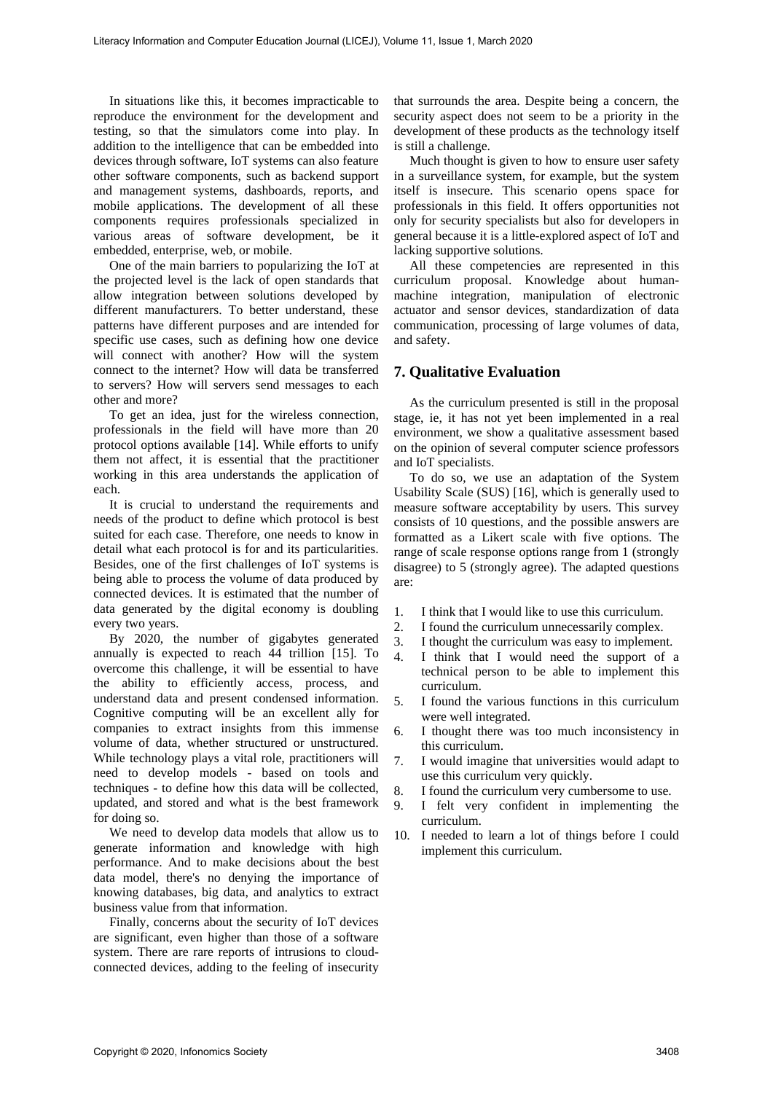In situations like this, it becomes impracticable to reproduce the environment for the development and testing, so that the simulators come into play. In addition to the intelligence that can be embedded into devices through software, IoT systems can also feature other software components, such as backend support and management systems, dashboards, reports, and mobile applications. The development of all these components requires professionals specialized in various areas of software development, be it embedded, enterprise, web, or mobile.

One of the main barriers to popularizing the IoT at the projected level is the lack of open standards that allow integration between solutions developed by different manufacturers. To better understand, these patterns have different purposes and are intended for specific use cases, such as defining how one device will connect with another? How will the system connect to the internet? How will data be transferred to servers? How will servers send messages to each other and more?

To get an idea, just for the wireless connection, professionals in the field will have more than 20 protocol options available [14]. While efforts to unify them not affect, it is essential that the practitioner working in this area understands the application of each.

It is crucial to understand the requirements and needs of the product to define which protocol is best suited for each case. Therefore, one needs to know in detail what each protocol is for and its particularities. Besides, one of the first challenges of IoT systems is being able to process the volume of data produced by connected devices. It is estimated that the number of data generated by the digital economy is doubling every two years.

By 2020, the number of gigabytes generated annually is expected to reach 44 trillion [15]. To overcome this challenge, it will be essential to have the ability to efficiently access, process, and understand data and present condensed information. Cognitive computing will be an excellent ally for companies to extract insights from this immense volume of data, whether structured or unstructured. While technology plays a vital role, practitioners will need to develop models - based on tools and techniques - to define how this data will be collected, updated, and stored and what is the best framework for doing so.

We need to develop data models that allow us to generate information and knowledge with high performance. And to make decisions about the best data model, there's no denying the importance of knowing databases, big data, and analytics to extract business value from that information.

Finally, concerns about the security of IoT devices are significant, even higher than those of a software system. There are rare reports of intrusions to cloudconnected devices, adding to the feeling of insecurity

that surrounds the area. Despite being a concern, the security aspect does not seem to be a priority in the development of these products as the technology itself is still a challenge.

Much thought is given to how to ensure user safety in a surveillance system, for example, but the system itself is insecure. This scenario opens space for professionals in this field. It offers opportunities not only for security specialists but also for developers in general because it is a little-explored aspect of IoT and lacking supportive solutions.

All these competencies are represented in this curriculum proposal. Knowledge about humanmachine integration, manipulation of electronic actuator and sensor devices, standardization of data communication, processing of large volumes of data, and safety.

# **7. Qualitative Evaluation**

As the curriculum presented is still in the proposal stage, ie, it has not yet been implemented in a real environment, we show a qualitative assessment based on the opinion of several computer science professors and IoT specialists.

To do so, we use an adaptation of the System Usability Scale (SUS) [16], which is generally used to measure software acceptability by users. This survey consists of 10 questions, and the possible answers are formatted as a Likert scale with five options. The range of scale response options range from 1 (strongly disagree) to 5 (strongly agree). The adapted questions are:

- 1. I think that I would like to use this curriculum.
- 2. I found the curriculum unnecessarily complex.
- 3. I thought the curriculum was easy to implement.
- 4. I think that I would need the support of a technical person to be able to implement this curriculum.
- 5. I found the various functions in this curriculum were well integrated.
- 6. I thought there was too much inconsistency in this curriculum.
- 7. I would imagine that universities would adapt to use this curriculum very quickly.
- 8. I found the curriculum very cumbersome to use.
- 9. I felt very confident in implementing the curriculum.
- 10. I needed to learn a lot of things before I could implement this curriculum.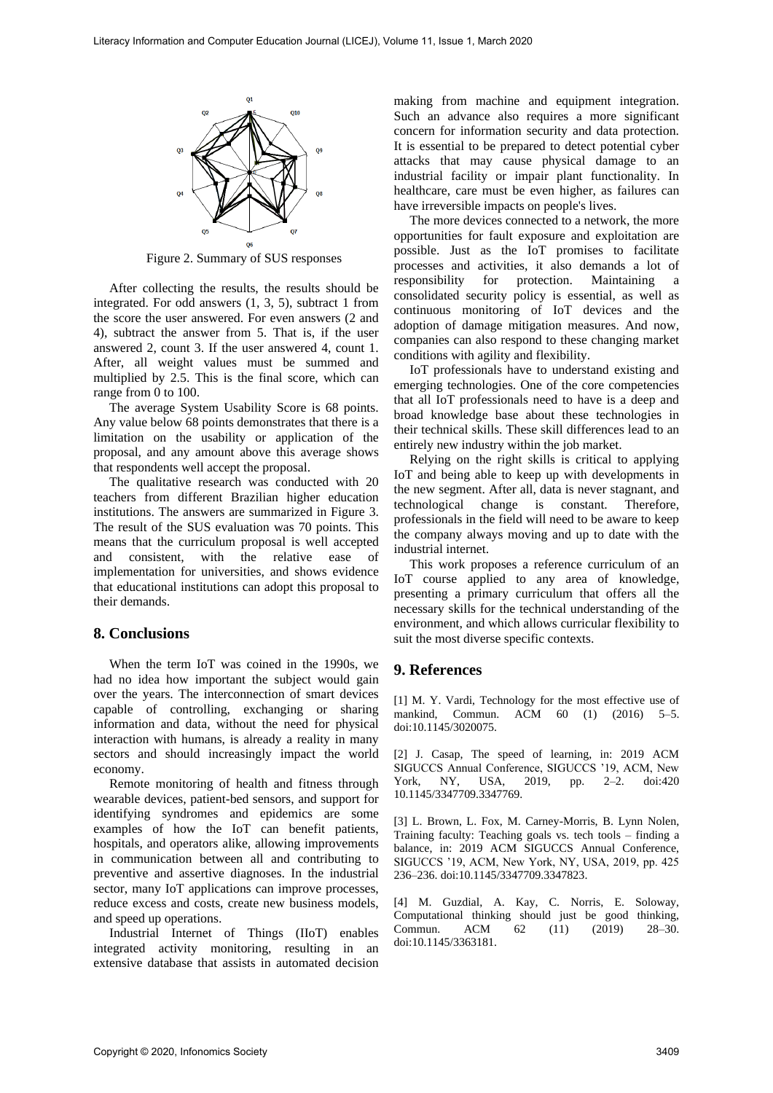

Figure 2. Summary of SUS responses

After collecting the results, the results should be integrated. For odd answers (1, 3, 5), subtract 1 from the score the user answered. For even answers (2 and 4), subtract the answer from 5. That is, if the user answered 2, count 3. If the user answered 4, count 1. After, all weight values must be summed and multiplied by 2.5. This is the final score, which can range from 0 to 100.

The average System Usability Score is 68 points. Any value below 68 points demonstrates that there is a limitation on the usability or application of the proposal, and any amount above this average shows that respondents well accept the proposal.

The qualitative research was conducted with 20 teachers from different Brazilian higher education institutions. The answers are summarized in Figure 3. The result of the SUS evaluation was 70 points. This means that the curriculum proposal is well accepted and consistent, with the relative ease of implementation for universities, and shows evidence that educational institutions can adopt this proposal to their demands.

## **8. Conclusions**

When the term IoT was coined in the 1990s, we had no idea how important the subject would gain over the years. The interconnection of smart devices capable of controlling, exchanging or sharing information and data, without the need for physical interaction with humans, is already a reality in many sectors and should increasingly impact the world economy.

Remote monitoring of health and fitness through wearable devices, patient-bed sensors, and support for identifying syndromes and epidemics are some examples of how the IoT can benefit patients, hospitals, and operators alike, allowing improvements in communication between all and contributing to preventive and assertive diagnoses. In the industrial sector, many IoT applications can improve processes, reduce excess and costs, create new business models, and speed up operations.

Industrial Internet of Things (IIoT) enables integrated activity monitoring, resulting in an extensive database that assists in automated decision

making from machine and equipment integration. Such an advance also requires a more significant concern for information security and data protection. It is essential to be prepared to detect potential cyber attacks that may cause physical damage to an industrial facility or impair plant functionality. In healthcare, care must be even higher, as failures can have irreversible impacts on people's lives.

The more devices connected to a network, the more opportunities for fault exposure and exploitation are possible. Just as the IoT promises to facilitate processes and activities, it also demands a lot of responsibility for protection. Maintaining a consolidated security policy is essential, as well as continuous monitoring of IoT devices and the adoption of damage mitigation measures. And now, companies can also respond to these changing market conditions with agility and flexibility.

IoT professionals have to understand existing and emerging technologies. One of the core competencies that all IoT professionals need to have is a deep and broad knowledge base about these technologies in their technical skills. These skill differences lead to an entirely new industry within the job market.

Relying on the right skills is critical to applying IoT and being able to keep up with developments in the new segment. After all, data is never stagnant, and technological change is constant. Therefore, professionals in the field will need to be aware to keep the company always moving and up to date with the industrial internet.

This work proposes a reference curriculum of an IoT course applied to any area of knowledge, presenting a primary curriculum that offers all the necessary skills for the technical understanding of the environment, and which allows curricular flexibility to suit the most diverse specific contexts.

## **9. References**

[1] M. Y. Vardi, Technology for the most effective use of mankind, Commun. ACM 60 (1) (2016) 5–5. doi:10.1145/3020075.

[2] J. Casap, The speed of learning, in: 2019 ACM SIGUCCS Annual Conference, SIGUCCS '19, ACM, New York, NY, USA, 2019, pp. 2–2. doi:420 10.1145/3347709.3347769.

[3] L. Brown, L. Fox, M. Carney-Morris, B. Lynn Nolen, Training faculty: Teaching goals vs. tech tools – finding a balance, in: 2019 ACM SIGUCCS Annual Conference, SIGUCCS '19, ACM, New York, NY, USA, 2019, pp. 425 236–236. doi:10.1145/3347709.3347823.

[4] M. Guzdial, A. Kay, C. Norris, E. Soloway, Computational thinking should just be good thinking, Commun. ACM 62 (11) (2019) 28–30. doi:10.1145/3363181.